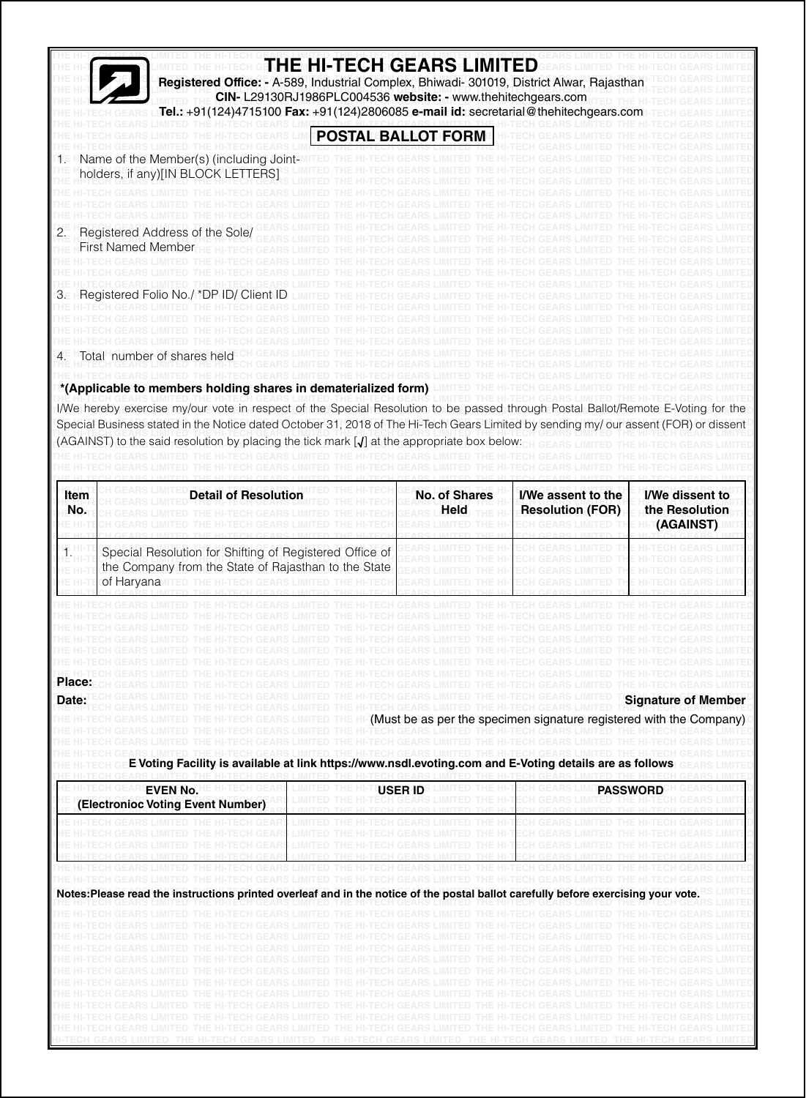|                                                      | Registered Office: - A-589, Industrial Complex, Bhiwadi- 301019, District Alwar, Rajasthan<br>Tel.: +91(124)4715100 Fax: +91(124)2806085 e-mail id: secretarial@thehitechgears.c                                                                                                                                                                                                                                                                                                                                                                                                                                                                                                                                |  | THE HI-TECH GEARS LIMITED<br>CIN-L29130RJ1986PLC004536 website: - www.thehitechgears.com                                            |                                                                                                                                                                                                                                                                   |                                                       |
|------------------------------------------------------|-----------------------------------------------------------------------------------------------------------------------------------------------------------------------------------------------------------------------------------------------------------------------------------------------------------------------------------------------------------------------------------------------------------------------------------------------------------------------------------------------------------------------------------------------------------------------------------------------------------------------------------------------------------------------------------------------------------------|--|-------------------------------------------------------------------------------------------------------------------------------------|-------------------------------------------------------------------------------------------------------------------------------------------------------------------------------------------------------------------------------------------------------------------|-------------------------------------------------------|
|                                                      |                                                                                                                                                                                                                                                                                                                                                                                                                                                                                                                                                                                                                                                                                                                 |  | POSTAL BALLOT FORM                                                                                                                  |                                                                                                                                                                                                                                                                   |                                                       |
|                                                      | Name of the Member(s) (including Joint-<br>holders, if any)[IN BLOCK LETTERS]                                                                                                                                                                                                                                                                                                                                                                                                                                                                                                                                                                                                                                   |  |                                                                                                                                     |                                                                                                                                                                                                                                                                   |                                                       |
| 2.                                                   | Registered Address of the Sole/<br><b>First Named Member</b>                                                                                                                                                                                                                                                                                                                                                                                                                                                                                                                                                                                                                                                    |  |                                                                                                                                     |                                                                                                                                                                                                                                                                   |                                                       |
| З.                                                   | Registered Folio No./ *DP ID/ Client ID                                                                                                                                                                                                                                                                                                                                                                                                                                                                                                                                                                                                                                                                         |  |                                                                                                                                     |                                                                                                                                                                                                                                                                   |                                                       |
| 4.                                                   | lotal number of shares held                                                                                                                                                                                                                                                                                                                                                                                                                                                                                                                                                                                                                                                                                     |  |                                                                                                                                     |                                                                                                                                                                                                                                                                   |                                                       |
|                                                      | *(Applicable to members holding shares in dematerialized form)<br>I/We hereby exercise my/our vote in respect of the Special Resolution to be passed through Postal Ballot/Remote E-Voting for the<br>Special Business stated in the Notice dated October 31, 2018 of The Hi-Tech Gears Limited by sending my/ our assent (FOR) or dissent<br>(AGAINST) to the said resolution by placing the tick mark $\mathcal{J}$ at the appropriate box below                                                                                                                                                                                                                                                              |  |                                                                                                                                     |                                                                                                                                                                                                                                                                   |                                                       |
| Item<br>No.                                          | <b>Detail of Resolution</b>                                                                                                                                                                                                                                                                                                                                                                                                                                                                                                                                                                                                                                                                                     |  | <b>No. of Shares</b><br>Held                                                                                                        | I/We assent to the<br><b>Resolution (FOR)</b>                                                                                                                                                                                                                     | <b>I/We dissent to</b><br>the Resolution<br>(AGAINST) |
|                                                      | Special Resolution for Shifting of Registered Office of<br>the Company from the State of Rajasthan to the State<br>of Haryana                                                                                                                                                                                                                                                                                                                                                                                                                                                                                                                                                                                   |  |                                                                                                                                     |                                                                                                                                                                                                                                                                   |                                                       |
| Place:<br>Date:                                      | HI-TECH GEARS LIMITED THE HI-TECH GEARS LIMITED THE HI-TECH GEARS LIMITED THE HI-TECH GEARS LIMITED THE HI-TECH GEARS LIMITED                                                                                                                                                                                                                                                                                                                                                                                                                                                                                                                                                                                   |  | HI-TECH GEARS LIMITED THE HI-TECH GEARS LIMITED THE HI-TECH GEARS L                                                                 | THE HI-TECH GEARS LIMITED THE HI-TECH GEARS LIMITED THE HI-TECH GEARS LIMITED THE HI-TECH GEARS LIMIT<br>THE HI-TECH GEARS LIMITED THE HI-TECH GEARS LIMITED THE HI-TECH GEARS LIMITED.<br>HI (Must be as per the specimen signature registered with the Company) | <b>Signature of Member</b>                            |
|                                                      | E Voting Facility is available at link https://www.nsdl.evoting.com and E-Voting details are as follows<br>TUE UI                                                                                                                                                                                                                                                                                                                                                                                                                                                                                                                                                                                               |  |                                                                                                                                     |                                                                                                                                                                                                                                                                   |                                                       |
| <b>EVEN No.</b><br>(Electronioc Voting Event Number) |                                                                                                                                                                                                                                                                                                                                                                                                                                                                                                                                                                                                                                                                                                                 |  | <b>USER ID</b>                                                                                                                      | <b>PASSWORD</b>                                                                                                                                                                                                                                                   |                                                       |
|                                                      |                                                                                                                                                                                                                                                                                                                                                                                                                                                                                                                                                                                                                                                                                                                 |  |                                                                                                                                     |                                                                                                                                                                                                                                                                   |                                                       |
|                                                      | IFTECH GEARS LIMITED THE HI-TECH GEARS LIMITED THE HI-TECH GEARS LIMITED THE HI-TECH GEARS LIMITED THE HI-TECH GEAI<br>Notes:Please read the instructions printed overleaf and in the notice of the postal ballot carefully before exercising your vote.<br>'HE HI-TECH GEARS LIMITED THE HI-TECH GEARS LIMITED THE HI-TECH GEARS LIMITED THE HI-TECH GEARS LIMITED THE HI-TEC<br>11-TECH GEARS LIMITED THE HI-TECH GEARS LIMITED THE HI-TECH GEARS LIMITED THE HI-TECH GEARS LIMITED<br>THE H-TECH GEARS LIVITED.<br>THE HI-TECH GEARS LIMITED.<br>II-TECH GEARS LIMITED THE HI-TECH GEARS LIMITED THE HI-TECH GEARS LIMITED THE HI-TECH GEARS LIMITED<br>THE HI-TECH GEARS LIMITED THE HI-TECH GEARS LIMITED. |  | HETECH GEARS LIMITED.<br>THE HI-TECH GEARS LIMITED THE HI-TECH GEARS LIMITED<br>THE HI-TECH GEARS LIMITED THE HI-TECH GEARS LIMITED | THE HI-TECH GEARS LIMITED THE HI-TECH GEARS LIMITED.                                                                                                                                                                                                              |                                                       |
|                                                      | ECH GEARS LIMITED<br>I-TECH GEARS LIMITED THE HI-TECH GEARS LIMITED. THE HI-TECH GEARS LIMITED THE HI-TECH GEARS LIMITED. THE HI-TECH GEARS                                                                                                                                                                                                                                                                                                                                                                                                                                                                                                                                                                     |  | THE HI-TECH GEARS LIMITED                                                                                                           | THE HI-TECH GEARS LIMITED THE HI-TECH GEARS LIMITED.                                                                                                                                                                                                              |                                                       |